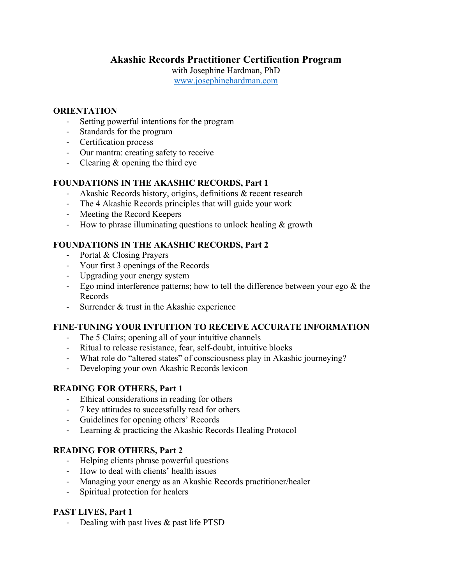# **Akashic Records Practitioner Certification Program**

with Josephine Hardman, PhD

www.josephinehardman.com

#### **ORIENTATION**

- Setting powerful intentions for the program
- Standards for the program
- Certification process
- Our mantra: creating safety to receive
- Clearing & opening the third eye

# **FOUNDATIONS IN THE AKASHIC RECORDS, Part 1**

- Akashic Records history, origins, definitions & recent research
- The 4 Akashic Records principles that will guide your work
- Meeting the Record Keepers
- How to phrase illuminating questions to unlock healing & growth

# **FOUNDATIONS IN THE AKASHIC RECORDS, Part 2**

- Portal & Closing Prayers
- Your first 3 openings of the Records
- Upgrading your energy system
- Ego mind interference patterns; how to tell the difference between your ego & the Records
- Surrender & trust in the Akashic experience

### **FINE-TUNING YOUR INTUITION TO RECEIVE ACCURATE INFORMATION**

- The 5 Clairs; opening all of your intuitive channels
- Ritual to release resistance, fear, self-doubt, intuitive blocks
- What role do "altered states" of consciousness play in Akashic journeying?
- Developing your own Akashic Records lexicon

### **READING FOR OTHERS, Part 1**

- Ethical considerations in reading for others
- 7 key attitudes to successfully read for others
- Guidelines for opening others' Records
- Learning & practicing the Akashic Records Healing Protocol

### **READING FOR OTHERS, Part 2**

- Helping clients phrase powerful questions
- How to deal with clients' health issues
- Managing your energy as an Akashic Records practitioner/healer
- Spiritual protection for healers

### **PAST LIVES, Part 1**

- Dealing with past lives & past life PTSD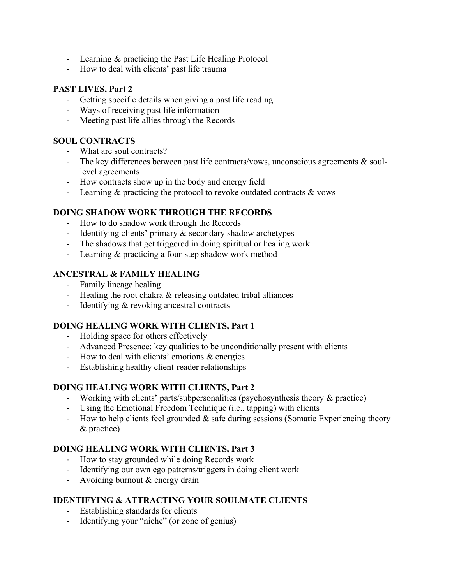- Learning & practicing the Past Life Healing Protocol
- How to deal with clients' past life trauma

#### **PAST LIVES, Part 2**

- Getting specific details when giving a past life reading
- Ways of receiving past life information
- Meeting past life allies through the Records

#### **SOUL CONTRACTS**

- What are soul contracts?
- The key differences between past life contracts/vows, unconscious agreements & soullevel agreements
- How contracts show up in the body and energy field
- Learning & practicing the protocol to revoke outdated contracts & vows

#### **DOING SHADOW WORK THROUGH THE RECORDS**

- How to do shadow work through the Records
- Identifying clients' primary & secondary shadow archetypes
- The shadows that get triggered in doing spiritual or healing work
- Learning & practicing a four-step shadow work method

# **ANCESTRAL & FAMILY HEALING**

- Family lineage healing
- Healing the root chakra & releasing outdated tribal alliances
- Identifying & revoking ancestral contracts

### **DOING HEALING WORK WITH CLIENTS, Part 1**

- Holding space for others effectively
- Advanced Presence: key qualities to be unconditionally present with clients
- How to deal with clients' emotions & energies
- Establishing healthy client-reader relationships

### **DOING HEALING WORK WITH CLIENTS, Part 2**

- Working with clients' parts/subpersonalities (psychosynthesis theory & practice)
- Using the Emotional Freedom Technique (i.e., tapping) with clients
- How to help clients feel grounded  $\&$  safe during sessions (Somatic Experiencing theory & practice)

## **DOING HEALING WORK WITH CLIENTS, Part 3**

- How to stay grounded while doing Records work
- Identifying our own ego patterns/triggers in doing client work
- Avoiding burnout & energy drain

### **IDENTIFYING & ATTRACTING YOUR SOULMATE CLIENTS**

- Establishing standards for clients
- Identifying your "niche" (or zone of genius)